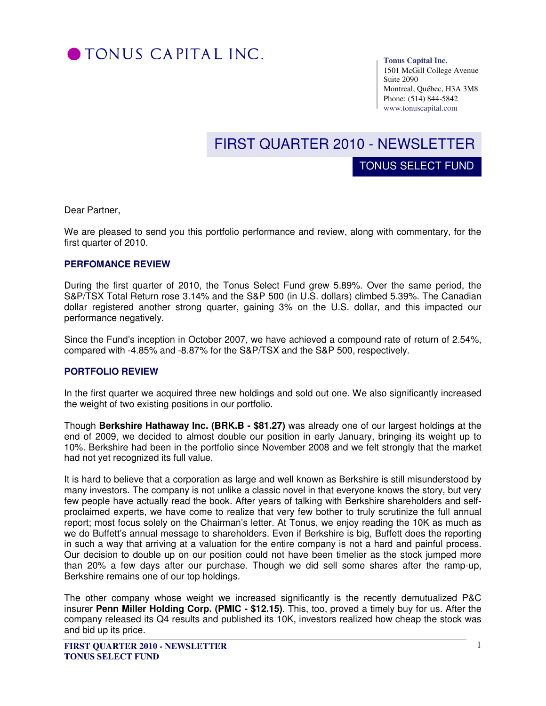

**Tonus Capital Inc.** 

TONUS SELECT FUND

1501 McGill College Avenue Suite 2090 Montreal, Québec, H3A 3M8 Phone: (514) 844-5842 www.tonuscapital.com

# FIRST QUARTER 2010 - NEWSLETTER

Dear Partner,

We are pleased to send you this portfolio performance and review, along with commentary, for the first quarter of 2010.

#### **PERFOMANCE REVIEW**

During the first quarter of 2010, the Tonus Select Fund grew 5.89%. Over the same period, the S&P/TSX Total Return rose 3.14% and the S&P 500 (in U.S. dollars) climbed 5.39%. The Canadian dollar registered another strong quarter, gaining 3% on the U.S. dollar, and this impacted our performance negatively.

Since the Fund's inception in October 2007, we have achieved a compound rate of return of 2.54%, compared with -4.85% and -8.87% for the S&P/TSX and the S&P 500, respectively.

#### **PORTFOLIO REVIEW**

In the first quarter we acquired three new holdings and sold out one. We also significantly increased the weight of two existing positions in our portfolio.

Though **Berkshire Hathaway Inc. (BRK.B - \$81.27)** was already one of our largest holdings at the end of 2009, we decided to almost double our position in early January, bringing its weight up to 10%. Berkshire had been in the portfolio since November 2008 and we felt strongly that the market had not yet recognized its full value.

It is hard to believe that a corporation as large and well known as Berkshire is still misunderstood by many investors. The company is not unlike a classic novel in that everyone knows the story, but very few people have actually read the book. After years of talking with Berkshire shareholders and selfproclaimed experts, we have come to realize that very few bother to truly scrutinize the full annual report; most focus solely on the Chairman's letter. At Tonus, we enjoy reading the 10K as much as we do Buffett's annual message to shareholders. Even if Berkshire is big, Buffett does the reporting in such a way that arriving at a valuation for the entire company is not a hard and painful process. Our decision to double up on our position could not have been timelier as the stock jumped more than 20% a few days after our purchase. Though we did sell some shares after the ramp-up, Berkshire remains one of our top holdings.

The other company whose weight we increased significantly is the recently demutualized P&C insurer **Penn Miller Holding Corp. (PMIC - \$12.15)**. This, too, proved a timely buy for us. After the company released its Q4 results and published its 10K, investors realized how cheap the stock was and bid up its price.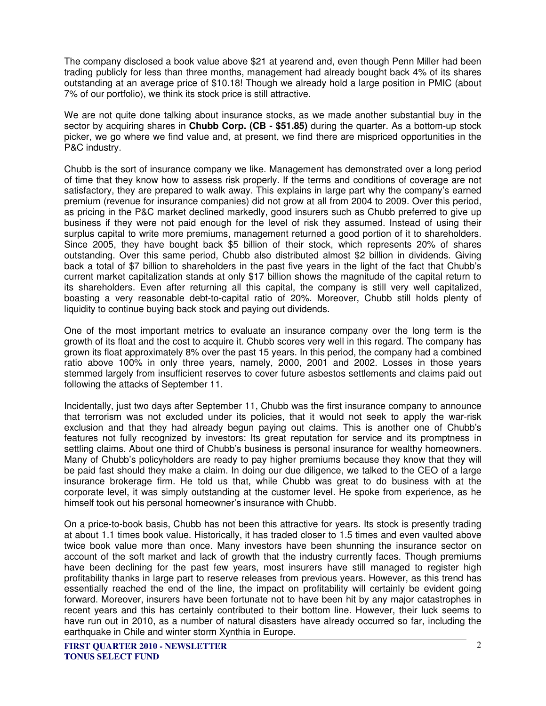The company disclosed a book value above \$21 at yearend and, even though Penn Miller had been trading publicly for less than three months, management had already bought back 4% of its shares outstanding at an average price of \$10.18! Though we already hold a large position in PMIC (about 7% of our portfolio), we think its stock price is still attractive.

We are not quite done talking about insurance stocks, as we made another substantial buy in the sector by acquiring shares in **Chubb Corp. (CB - \$51.85)** during the quarter. As a bottom-up stock picker, we go where we find value and, at present, we find there are mispriced opportunities in the P&C industry.

Chubb is the sort of insurance company we like. Management has demonstrated over a long period of time that they know how to assess risk properly. If the terms and conditions of coverage are not satisfactory, they are prepared to walk away. This explains in large part why the company's earned premium (revenue for insurance companies) did not grow at all from 2004 to 2009. Over this period, as pricing in the P&C market declined markedly, good insurers such as Chubb preferred to give up business if they were not paid enough for the level of risk they assumed. Instead of using their surplus capital to write more premiums, management returned a good portion of it to shareholders. Since 2005, they have bought back \$5 billion of their stock, which represents 20% of shares outstanding. Over this same period, Chubb also distributed almost \$2 billion in dividends. Giving back a total of \$7 billion to shareholders in the past five years in the light of the fact that Chubb's current market capitalization stands at only \$17 billion shows the magnitude of the capital return to its shareholders. Even after returning all this capital, the company is still very well capitalized, boasting a very reasonable debt-to-capital ratio of 20%. Moreover, Chubb still holds plenty of liquidity to continue buying back stock and paying out dividends.

One of the most important metrics to evaluate an insurance company over the long term is the growth of its float and the cost to acquire it. Chubb scores very well in this regard. The company has grown its float approximately 8% over the past 15 years. In this period, the company had a combined ratio above 100% in only three years, namely, 2000, 2001 and 2002. Losses in those years stemmed largely from insufficient reserves to cover future asbestos settlements and claims paid out following the attacks of September 11.

Incidentally, just two days after September 11, Chubb was the first insurance company to announce that terrorism was not excluded under its policies, that it would not seek to apply the war-risk exclusion and that they had already begun paying out claims. This is another one of Chubb's features not fully recognized by investors: Its great reputation for service and its promptness in settling claims. About one third of Chubb's business is personal insurance for wealthy homeowners. Many of Chubb's policyholders are ready to pay higher premiums because they know that they will be paid fast should they make a claim. In doing our due diligence, we talked to the CEO of a large insurance brokerage firm. He told us that, while Chubb was great to do business with at the corporate level, it was simply outstanding at the customer level. He spoke from experience, as he himself took out his personal homeowner's insurance with Chubb.

On a price-to-book basis, Chubb has not been this attractive for years. Its stock is presently trading at about 1.1 times book value. Historically, it has traded closer to 1.5 times and even vaulted above twice book value more than once. Many investors have been shunning the insurance sector on account of the soft market and lack of growth that the industry currently faces. Though premiums have been declining for the past few years, most insurers have still managed to register high profitability thanks in large part to reserve releases from previous years. However, as this trend has essentially reached the end of the line, the impact on profitability will certainly be evident going forward. Moreover, insurers have been fortunate not to have been hit by any major catastrophes in recent years and this has certainly contributed to their bottom line. However, their luck seems to have run out in 2010, as a number of natural disasters have already occurred so far, including the earthquake in Chile and winter storm Xynthia in Europe.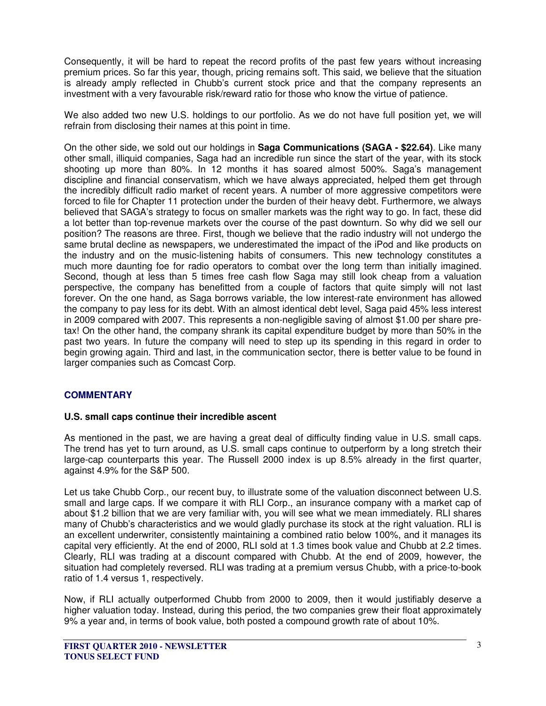Consequently, it will be hard to repeat the record profits of the past few years without increasing premium prices. So far this year, though, pricing remains soft. This said, we believe that the situation is already amply reflected in Chubb's current stock price and that the company represents an investment with a very favourable risk/reward ratio for those who know the virtue of patience.

We also added two new U.S. holdings to our portfolio. As we do not have full position yet, we will refrain from disclosing their names at this point in time.

On the other side, we sold out our holdings in **Saga Communications (SAGA - \$22.64)**. Like many other small, illiquid companies, Saga had an incredible run since the start of the year, with its stock shooting up more than 80%. In 12 months it has soared almost 500%. Saga's management discipline and financial conservatism, which we have always appreciated, helped them get through the incredibly difficult radio market of recent years. A number of more aggressive competitors were forced to file for Chapter 11 protection under the burden of their heavy debt. Furthermore, we always believed that SAGA's strategy to focus on smaller markets was the right way to go. In fact, these did a lot better than top-revenue markets over the course of the past downturn. So why did we sell our position? The reasons are three. First, though we believe that the radio industry will not undergo the same brutal decline as newspapers, we underestimated the impact of the iPod and like products on the industry and on the music-listening habits of consumers. This new technology constitutes a much more daunting foe for radio operators to combat over the long term than initially imagined. Second, though at less than 5 times free cash flow Saga may still look cheap from a valuation perspective, the company has benefitted from a couple of factors that quite simply will not last forever. On the one hand, as Saga borrows variable, the low interest-rate environment has allowed the company to pay less for its debt. With an almost identical debt level, Saga paid 45% less interest in 2009 compared with 2007. This represents a non-negligible saving of almost \$1.00 per share pretax! On the other hand, the company shrank its capital expenditure budget by more than 50% in the past two years. In future the company will need to step up its spending in this regard in order to begin growing again. Third and last, in the communication sector, there is better value to be found in larger companies such as Comcast Corp.

## **COMMENTARY**

### **U.S. small caps continue their incredible ascent**

As mentioned in the past, we are having a great deal of difficulty finding value in U.S. small caps. The trend has yet to turn around, as U.S. small caps continue to outperform by a long stretch their large-cap counterparts this year. The Russell 2000 index is up 8.5% already in the first quarter, against 4.9% for the S&P 500.

Let us take Chubb Corp., our recent buy, to illustrate some of the valuation disconnect between U.S. small and large caps. If we compare it with RLI Corp., an insurance company with a market cap of about \$1.2 billion that we are very familiar with, you will see what we mean immediately. RLI shares many of Chubb's characteristics and we would gladly purchase its stock at the right valuation. RLI is an excellent underwriter, consistently maintaining a combined ratio below 100%, and it manages its capital very efficiently. At the end of 2000, RLI sold at 1.3 times book value and Chubb at 2.2 times. Clearly, RLI was trading at a discount compared with Chubb. At the end of 2009, however, the situation had completely reversed. RLI was trading at a premium versus Chubb, with a price-to-book ratio of 1.4 versus 1, respectively.

Now, if RLI actually outperformed Chubb from 2000 to 2009, then it would justifiably deserve a higher valuation today. Instead, during this period, the two companies grew their float approximately 9% a year and, in terms of book value, both posted a compound growth rate of about 10%.